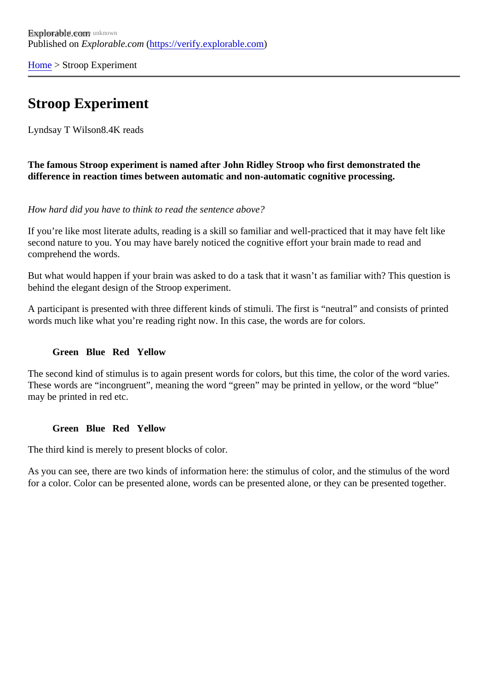[Home](https://verify.explorable.com/)> Stroop Experiment

## Stroop Experiment

Lyndsay T Wilso<sub>8.4K</sub> reads

The famous Stroop experiment is named after John Ridley Stroop who first demonstrated the difference in reaction times between automatic and non-automatic cognitive processing.

How hard did you have to think to read the sentence above?

If you're like most literate adults, reading is a skill so familiar and well-practiced that it may have felt like second nature to you. You may have barely noticed the cognitive effort your brain made to read and comprehend the words.

But what would happen if your brain was asked to do a task that it wasn't as familiar with? This question is behind the elegant design of the Stroop experiment.

A participant is presented with three different kinds of stimuli. The first is "neutral" and consists of printed words much like what you're reading right now. In this case, the words are for colors.

Green Blue Red Yellow

The second kind of stimulus is to again present words for colors, but this time, the color of the word varies. These words are "incongruent", meaning the word "green" may be printed in yellow, or the word "blue" may be printed in red etc.

Green Blue Red Yellow

The third kind is merely to present blocks of color.

As you can see, there are two kinds of information here: the stimulus of color, and the stimulus of the word for a color. Color can be presented alone, words can be presented alone, or they can be presented togeth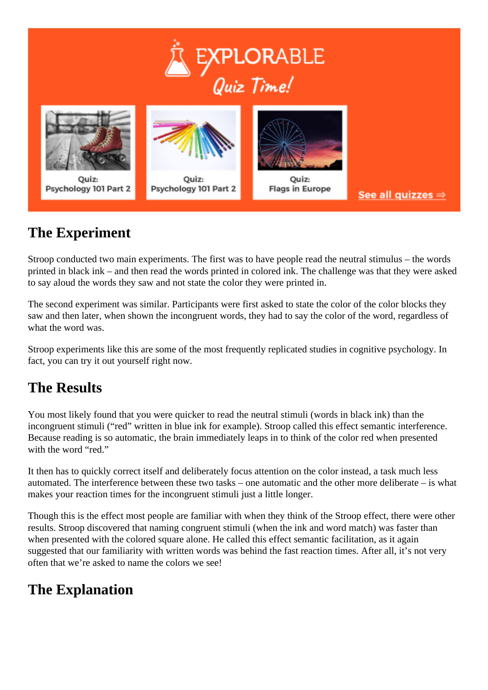



# **The Experiment**

Stroop conducted two main experiments. The first was to have people read the neutral stimulus – the words printed in black ink – and then read the words printed in colored ink. The challenge was that they were asked to say aloud the words they saw and not state the color they were printed in.

The second experiment was similar. Participants were first asked to state the color of the color blocks they saw and then later, when shown the incongruent words, they had to say the color of the word, regardless of what the word was.

Stroop experiments like this are some of the most frequently replicated studies in cognitive psychology. In fact, you can try it out yourself right now.

### **The Results**

You most likely found that you were quicker to read the neutral stimuli (words in black ink) than the incongruent stimuli ("red" written in blue ink for example). Stroop called this effect semantic interference. Because reading is so automatic, the brain immediately leaps in to think of the color red when presented with the word "red."

It then has to quickly correct itself and deliberately focus attention on the color instead, a task much less automated. The interference between these two tasks – one automatic and the other more deliberate – is what makes your reaction times for the incongruent stimuli just a little longer.

Though this is the effect most people are familiar with when they think of the Stroop effect, there were other results. Stroop discovered that naming congruent stimuli (when the ink and word match) was faster than when presented with the colored square alone. He called this effect semantic facilitation, as it again suggested that our familiarity with written words was behind the fast reaction times. After all, it's not very often that we're asked to name the colors we see!

### **The Explanation**